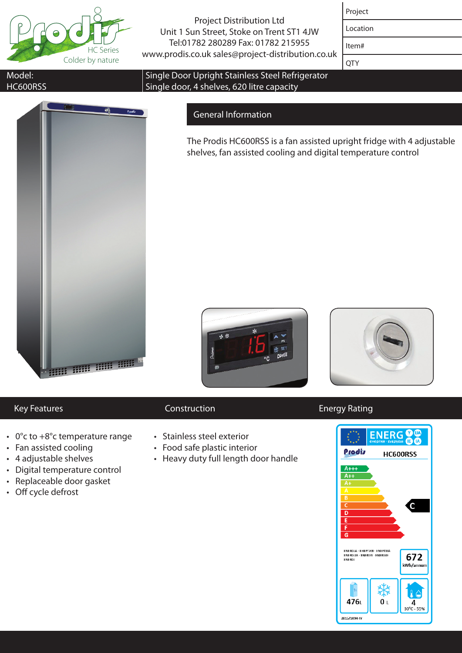

Project Distribution Ltd Unit 1 Sun Street, Stoke on Trent ST1 4JW Tel:01782 280289 Fax: 01782 215955 www.prodis.co.uk sales@project-distribution.co.uk

| roje<br>- |
|-----------|
|-----------|

Location Item#

**OTY** 

### Model: HC600RSS



### Single Door Upright Stainless Steel Refrigerator Single door, 4 shelves, 620 litre capacity

## General Information

The Prodis HC600RSS is a fan assisted upright fridge with 4 adjustable shelves, fan assisted cooling and digital temperature control





- $\cdot$  0°c to +8°c temperature range
- Fan assisted cooling
- • 4 adjustable shelves
- • Digital temperature control
- • Replaceable door gasket
- Off cycle defrost

- • Stainless steel exterior
- Food safe plastic interior
- Heavy duty full length door handle



# Key Features **Construction** Energy Rating Energy Rating